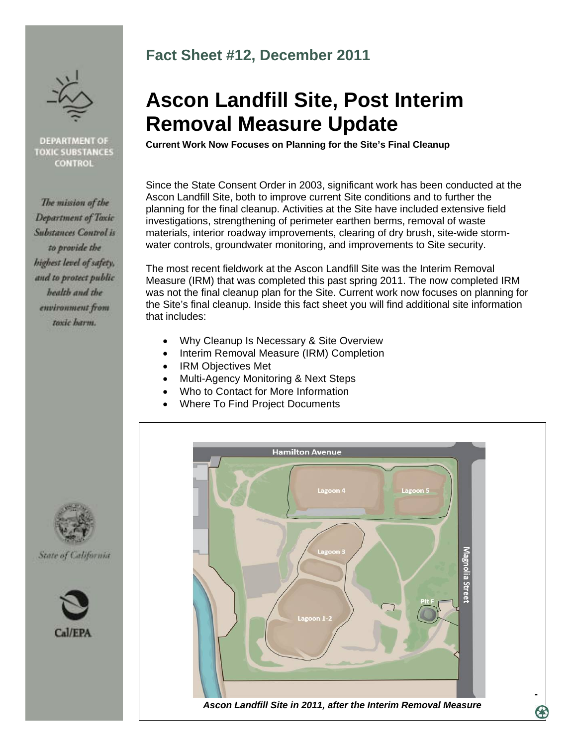

#### **DEPARTMENT OF TOXIC SUBSTANCES CONTROL**

The mission of the Department of Toxic **Substances Control is** to provide the highest level of safety, and to protect public health and the environment from toxic harm.

State of California

Cal/FPA

## **Fact Sheet #12, December 2011**

# **Ascon Landfill Site, Post Interim Removal Measure Update**

**Current Work Now Focuses on Planning for the Site's Final Cleanup** 

Since the State Consent Order in 2003, significant work has been conducted at the Ascon Landfill Site, both to improve current Site conditions and to further the planning for the final cleanup. Activities at the Site have included extensive field investigations, strengthening of perimeter earthen berms, removal of waste materials, interior roadway improvements, clearing of dry brush, site-wide stormwater controls, groundwater monitoring, and improvements to Site security.

The most recent fieldwork at the Ascon Landfill Site was the Interim Removal Measure (IRM) that was completed this past spring 2011. The now completed IRM was not the final cleanup plan for the Site. Current work now focuses on planning for the Site's final cleanup. Inside this fact sheet you will find additional site information that includes:

- Why Cleanup Is Necessary & Site Overview
- Interim Removal Measure (IRM) Completion
- IRM Objectives Met
- Multi-Agency Monitoring & Next Steps
- Who to Contact for More Information
- Where To Find Project Documents



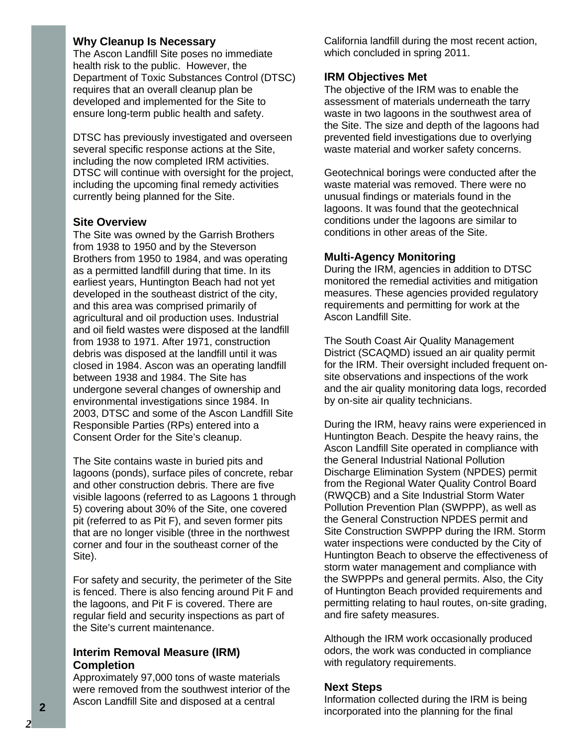#### **Why Cleanup Is Necessary**

The Ascon Landfill Site poses no immediate health risk to the public. However, the Department of Toxic Substances Control (DTSC) requires that an overall cleanup plan be developed and implemented for the Site to ensure long-term public health and safety.

DTSC has previously investigated and overseen several specific response actions at the Site, including the now completed IRM activities. DTSC will continue with oversight for the project, including the upcoming final remedy activities currently being planned for the Site.

#### **Site Overview**

The Site was owned by the Garrish Brothers from 1938 to 1950 and by the Steverson Brothers from 1950 to 1984, and was operating as a permitted landfill during that time. In its earliest years, Huntington Beach had not yet developed in the southeast district of the city, and this area was comprised primarily of agricultural and oil production uses. Industrial and oil field wastes were disposed at the landfill from 1938 to 1971. After 1971, construction debris was disposed at the landfill until it was closed in 1984. Ascon was an operating landfill between 1938 and 1984. The Site has undergone several changes of ownership and environmental investigations since 1984. In 2003, DTSC and some of the Ascon Landfill Site Responsible Parties (RPs) entered into a Consent Order for the Site's cleanup.

The Site contains waste in buried pits and lagoons (ponds), surface piles of concrete, rebar and other construction debris. There are five visible lagoons (referred to as Lagoons 1 through 5) covering about 30% of the Site, one covered pit (referred to as Pit F), and seven former pits that are no longer visible (three in the northwest corner and four in the southeast corner of the Site).

For safety and security, the perimeter of the Site is fenced. There is also fencing around Pit F and the lagoons, and Pit F is covered. There are regular field and security inspections as part of the Site's current maintenance.

#### **Interim Removal Measure (IRM) Completion**

Approximately 97,000 tons of waste materials were removed from the southwest interior of the Ascon Landfill Site and disposed at a central

California landfill during the most recent action, which concluded in spring 2011.

#### **IRM Objectives Met**

The objective of the IRM was to enable the assessment of materials underneath the tarry waste in two lagoons in the southwest area of the Site. The size and depth of the lagoons had prevented field investigations due to overlying waste material and worker safety concerns.

Geotechnical borings were conducted after the waste material was removed. There were no unusual findings or materials found in the lagoons. It was found that the geotechnical conditions under the lagoons are similar to conditions in other areas of the Site.

#### **Multi-Agency Monitoring**

During the IRM, agencies in addition to DTSC monitored the remedial activities and mitigation measures. These agencies provided regulatory requirements and permitting for work at the Ascon Landfill Site.

The South Coast Air Quality Management District (SCAQMD) issued an air quality permit for the IRM. Their oversight included frequent onsite observations and inspections of the work and the air quality monitoring data logs, recorded by on-site air quality technicians.

During the IRM, heavy rains were experienced in Huntington Beach. Despite the heavy rains, the Ascon Landfill Site operated in compliance with the General Industrial National Pollution Discharge Elimination System (NPDES) permit from the Regional Water Quality Control Board (RWQCB) and a Site Industrial Storm Water Pollution Prevention Plan (SWPPP), as well as the General Construction NPDES permit and Site Construction SWPPP during the IRM. Storm water inspections were conducted by the City of Huntington Beach to observe the effectiveness of storm water management and compliance with the SWPPPs and general permits. Also, the City of Huntington Beach provided requirements and permitting relating to haul routes, on-site grading, and fire safety measures.

Although the IRM work occasionally produced odors, the work was conducted in compliance with regulatory requirements.

#### **Next Steps**

Information collected during the IRM is being **2 EXECUTE ANOTHER INCORPORATE IN THE PROPERTY OF A REPORT OF THE PROPERTY OF A REPORT OF THE FINAL PROPERTY OF THE FINAL <b>2** *CALCUPATHON CONDUCTS CALCUPATHON CONDUCTS CALCUPATHON CONDUCTS CALCUPATHON CONDU*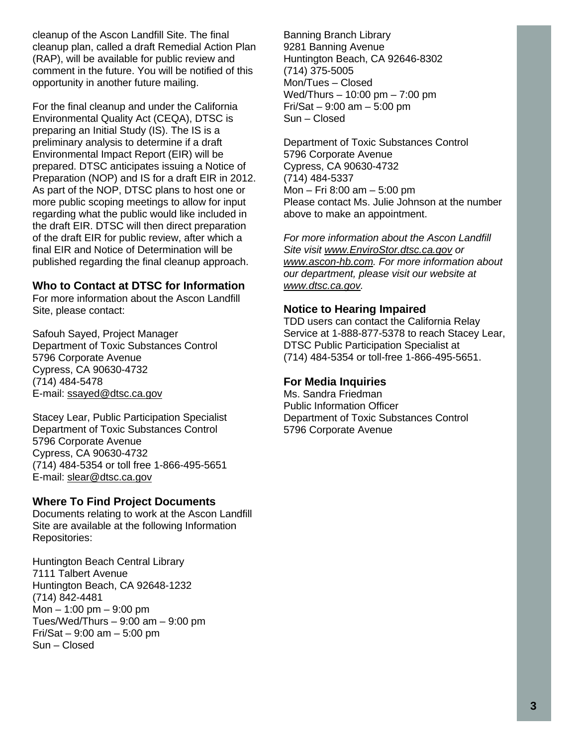cleanup of the Ascon Landfill Site. The final cleanup plan, called a draft Remedial Action Plan (RAP), will be available for public review and comment in the future. You will be notified of this opportunity in another future mailing.

For the final cleanup and under the California Environmental Quality Act (CEQA), DTSC is preparing an Initial Study (IS). The IS is a preliminary analysis to determine if a draft Environmental Impact Report (EIR) will be prepared. DTSC anticipates issuing a Notice of Preparation (NOP) and IS for a draft EIR in 2012. As part of the NOP, DTSC plans to host one or more public scoping meetings to allow for input regarding what the public would like included in the draft EIR. DTSC will then direct preparation of the draft EIR for public review, after which a final EIR and Notice of Determination will be published regarding the final cleanup approach.

#### **Who to Contact at DTSC for Information**

For more information about the Ascon Landfill Site, please contact:

Safouh Sayed, Project Manager Department of Toxic Substances Control 5796 Corporate Avenue Cypress, CA 90630-4732 (714) 484-5478 E-mail: ssayed@dtsc.ca.gov

Stacey Lear, Public Participation Specialist Department of Toxic Substances Control 5796 Corporate Avenue Cypress, CA 90630-4732 (714) 484-5354 or toll free 1-866-495-5651 E-mail: slear@dtsc.ca.gov

### **Where To Find Project Documents**

Documents relating to work at the Ascon Landfill Site are available at the following Information Repositories:

Huntington Beach Central Library 7111 Talbert Avenue Huntington Beach, CA 92648-1232 (714) 842-4481 Mon – 1:00 pm – 9:00 pm Tues/Wed/Thurs – 9:00 am – 9:00 pm Fri/Sat – 9:00 am – 5:00 pm Sun – Closed

Banning Branch Library 9281 Banning Avenue Huntington Beach, CA 92646-8302 (714) 375-5005 Mon/Tues – Closed Wed/Thurs – 10:00 pm – 7:00 pm Fri/Sat – 9:00 am – 5:00 pm Sun – Closed

Department of Toxic Substances Control 5796 Corporate Avenue Cypress, CA 90630-4732 (714) 484-5337 Mon – Fri 8:00 am – 5:00 pm Please contact Ms. Julie Johnson at the number above to make an appointment.

*For more information about the Ascon Landfill Site visit www.EnviroStor.dtsc.ca.gov or www.ascon-hb.com. For more information about our department, please visit our website at www.dtsc.ca.gov.* 

#### **Notice to Hearing Impaired**

TDD users can contact the California Relay Service at 1-888-877-5378 to reach Stacey Lear, DTSC Public Participation Specialist at (714) 484-5354 or toll-free 1-866-495-5651.

### **For Media Inquiries**

Ms. Sandra Friedman Public Information Officer Department of Toxic Substances Control 5796 Corporate Avenue